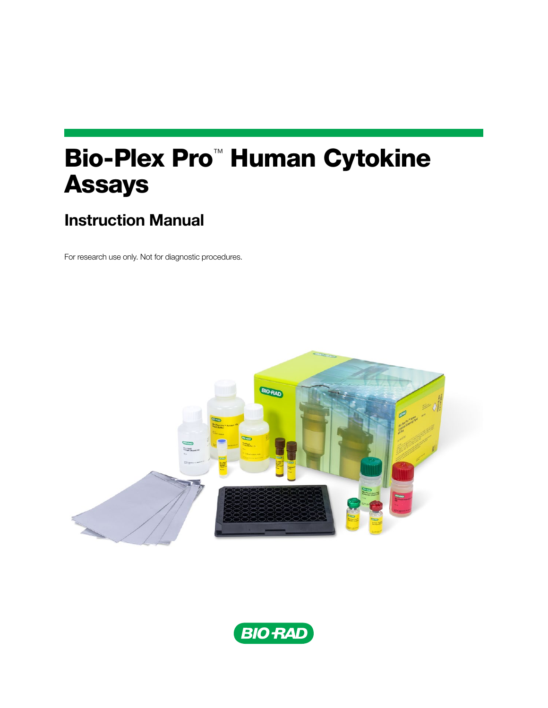# Bio-Plex Pro™ Human Cytokine Assays

# Instruction Manual

For research use only. Not for diagnostic procedures.



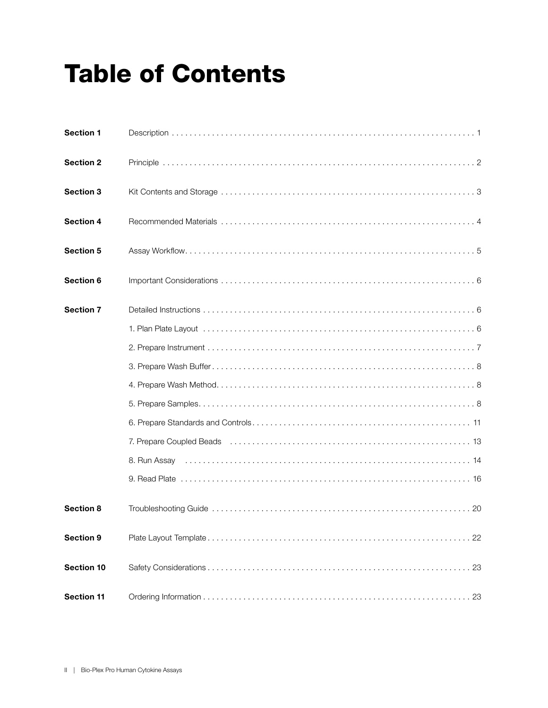# Table of Contents

| <b>Section 1</b>  |                                                                                                                 |
|-------------------|-----------------------------------------------------------------------------------------------------------------|
| <b>Section 2</b>  |                                                                                                                 |
| Section 3         |                                                                                                                 |
| Section 4         |                                                                                                                 |
| <b>Section 5</b>  |                                                                                                                 |
| Section 6         |                                                                                                                 |
| <b>Section 7</b>  |                                                                                                                 |
|                   |                                                                                                                 |
|                   |                                                                                                                 |
|                   |                                                                                                                 |
|                   |                                                                                                                 |
|                   |                                                                                                                 |
|                   |                                                                                                                 |
|                   |                                                                                                                 |
|                   | 8. Run Assay (and all and all and all and all and all and all and all and all and all and all and all and all a |
|                   |                                                                                                                 |
| Section 8         |                                                                                                                 |
| <b>Section 9</b>  |                                                                                                                 |
| <b>Section 10</b> |                                                                                                                 |
| <b>Section 11</b> |                                                                                                                 |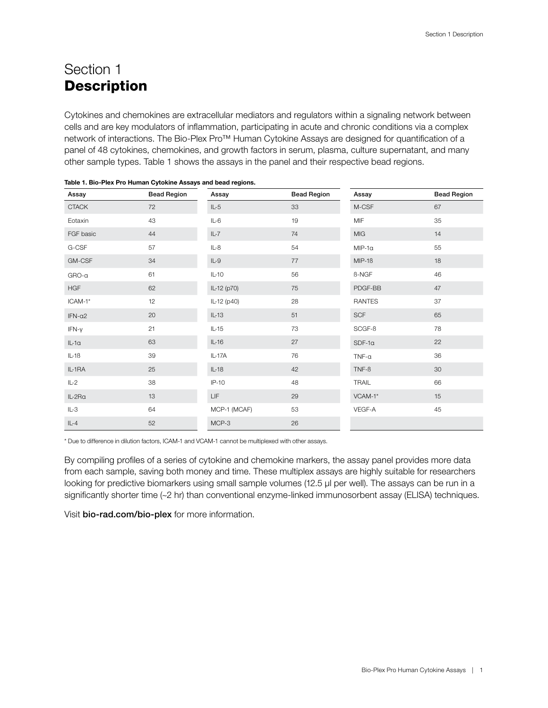# <span id="page-2-0"></span>Section 1 **Description**

Cytokines and chemokines are extracellular mediators and regulators within a signaling network between cells and are key modulators of inflammation, participating in acute and chronic conditions via a complex network of interactions. The Bio-Plex Pro™ Human Cytokine Assays are designed for quantification of a panel of 48 cytokines, chemokines, and growth factors in serum, plasma, culture supernatant, and many other sample types. Table 1 shows the assays in the panel and their respective bead regions.

| Assay         | <b>Bead Region</b> | Assay        | <b>Bead Region</b> | Assay         | <b>Bead Region</b> |
|---------------|--------------------|--------------|--------------------|---------------|--------------------|
| <b>CTACK</b>  | 72                 | $IL-5$       | 33                 | M-CSF         | 67                 |
| Eotaxin       | 43                 | $IL-6$       | 19                 | <b>MIF</b>    | 35                 |
| FGF basic     | 44                 | $IL-7$       | 74                 | <b>MIG</b>    | 14                 |
| G-CSF         | 57                 | $IL-8$       | 54                 | $MIP-1a$      | 55                 |
| GM-CSF        | 34                 | $IL-9$       | 77                 | $MIP-1B$      | 18                 |
| GRO-a         | 61                 | $IL-10$      | 56                 | <b>B-NGF</b>  | 46                 |
| <b>HGF</b>    | 62                 | IL-12 (p70)  | 75                 | PDGF-BB       | 47                 |
| ICAM-1*       | 12                 | IL-12 (p40)  | 28                 | <b>RANTES</b> | 37                 |
| $IFN-\alpha2$ | 20                 | $IL-13$      | 51                 | <b>SCF</b>    | 65                 |
| $IFN-\gamma$  | 21                 | $IL-15$      | 73                 | SCGF-B        | 78                 |
| $IL-1a$       | 63                 | $IL-16$      | 27                 | $SDF-1a$      | 22                 |
| $IL-1B$       | 39                 | IL-17A       | 76                 | $TNF-\alpha$  | 36                 |
| IL-1RA        | 25                 | $IL-18$      | 42                 | $TNF-B$       | 30                 |
| $IL-2$        | 38                 | $IP-10$      | 48                 | <b>TRAIL</b>  | 66                 |
| IL-2Ra        | 13                 | LIF          | 29                 | VCAM-1*       | 15                 |
| IL-3          | 64                 | MCP-1 (MCAF) | 53                 | VEGF-A        | 45                 |
| $IL-4$        | 52                 | MCP-3        | 26                 |               |                    |

\* Due to difference in dilution factors, ICAM-1 and VCAM-1 cannot be multiplexed with other assays.

By compiling profiles of a series of cytokine and chemokine markers, the assay panel provides more data from each sample, saving both money and time. These multiplex assays are highly suitable for researchers looking for predictive biomarkers using small sample volumes (12.5 µl per well). The assays can be run in a significantly shorter time (~2 hr) than conventional enzyme-linked immunosorbent assay (ELISA) techniques.

Visit [bio-rad.com/bio-plex](http://bio-rad.com/bio-plex) for more information.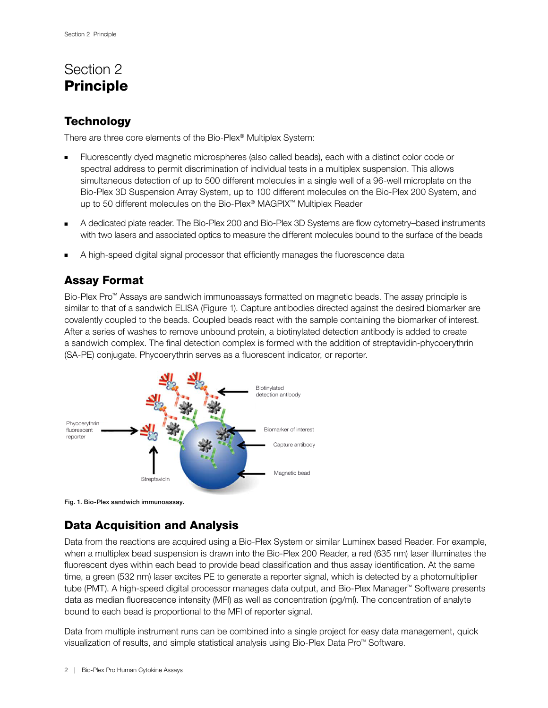# Section 2 Principle

### **Technology**

There are three core elements of the Bio-Plex® Multiplex System:

- Fluorescently dyed magnetic microspheres (also called beads), each with a distinct color code or spectral address to permit discrimination of individual tests in a multiplex suspension. This allows simultaneous detection of up to 500 different molecules in a single well of a 96-well microplate on the Bio-Plex 3D Suspension Array System, up to 100 different molecules on the Bio-Plex 200 System, and up to 50 different molecules on the Bio-Plex® MAGPIX™ Multiplex Reader
- A dedicated plate reader. The Bio-Plex 200 and Bio-Plex 3D Systems are flow cytometry–based instruments with two lasers and associated optics to measure the different molecules bound to the surface of the beads
- A high-speed digital signal processor that efficiently manages the fluorescence data

# Assay Format

Bio-Plex Pro™ Assays are sandwich immunoassays formatted on magnetic beads. The assay principle is similar to that of a sandwich ELISA (Figure 1). Capture antibodies directed against the desired biomarker are covalently coupled to the beads. Coupled beads react with the sample containing the biomarker of interest. After a series of washes to remove unbound protein, a biotinylated detection antibody is added to create a sandwich complex. The final detection complex is formed with the addition of streptavidin-phycoerythrin (SA-PE) conjugate. Phycoerythrin serves as a fluorescent indicator, or reporter.



Fig. 1. Bio-Plex sandwich immunoassay.

# Data Acquisition and Analysis

Data from the reactions are acquired using a Bio-Plex System or similar Luminex based Reader. For example, when a multiplex bead suspension is drawn into the Bio-Plex 200 Reader, a red (635 nm) laser illuminates the fluorescent dyes within each bead to provide bead classification and thus assay identification. At the same time, a green (532 nm) laser excites PE to generate a reporter signal, which is detected by a photomultiplier tube (PMT). A high-speed digital processor manages data output, and Bio-Plex Manager™ Software presents data as median fluorescence intensity (MFI) as well as concentration (pg/ml). The concentration of analyte bound to each bead is proportional to the MFI of reporter signal.

Data from multiple instrument runs can be combined into a single project for easy data management, quick visualization of results, and simple statistical analysis using Bio-Plex Data Pro™ Software.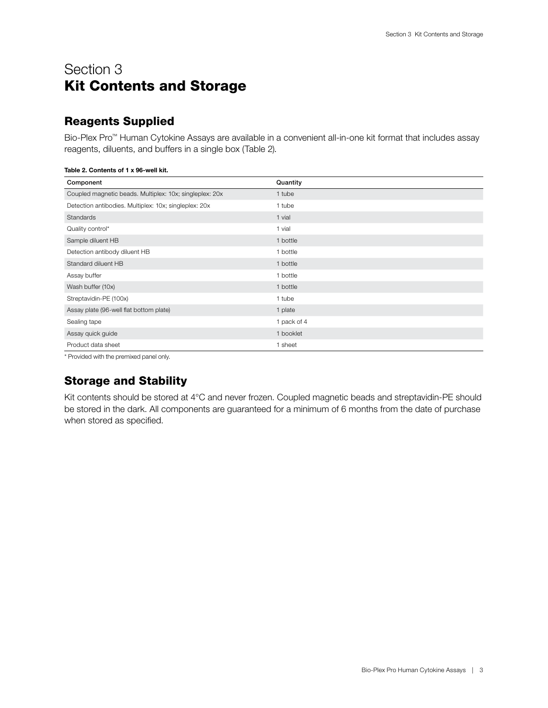# <span id="page-4-0"></span>Section 3 Kit Contents and Storage

## Reagents Supplied

Bio-Plex Pro™ Human Cytokine Assays are available in a convenient all-in-one kit format that includes assay reagents, diluents, and buffers in a single box (Table 2).

| Component                                               | Quantity    |
|---------------------------------------------------------|-------------|
| Coupled magnetic beads. Multiplex: 10x; singleplex: 20x | 1 tube      |
| Detection antibodies. Multiplex: 10x; singleplex: 20x   | 1 tube      |
| Standards                                               | 1 vial      |
| Quality control*                                        | 1 vial      |
| Sample diluent HB                                       | 1 bottle    |
| Detection antibody diluent HB                           | 1 bottle    |
| Standard diluent HB                                     | 1 bottle    |
| Assay buffer                                            | 1 bottle    |
| Wash buffer (10x)                                       | 1 bottle    |
| Streptavidin-PE (100x)                                  | 1 tube      |
| Assay plate (96-well flat bottom plate)                 | 1 plate     |
| Sealing tape                                            | 1 pack of 4 |
| Assay quick guide                                       | 1 booklet   |
| Product data sheet                                      | 1 sheet     |

Table 2. Contents of 1 x 96-well kit.

\* Provided with the premixed panel only.

### Storage and Stability

Kit contents should be stored at 4°C and never frozen. Coupled magnetic beads and streptavidin-PE should be stored in the dark. All components are guaranteed for a minimum of 6 months from the date of purchase when stored as specified.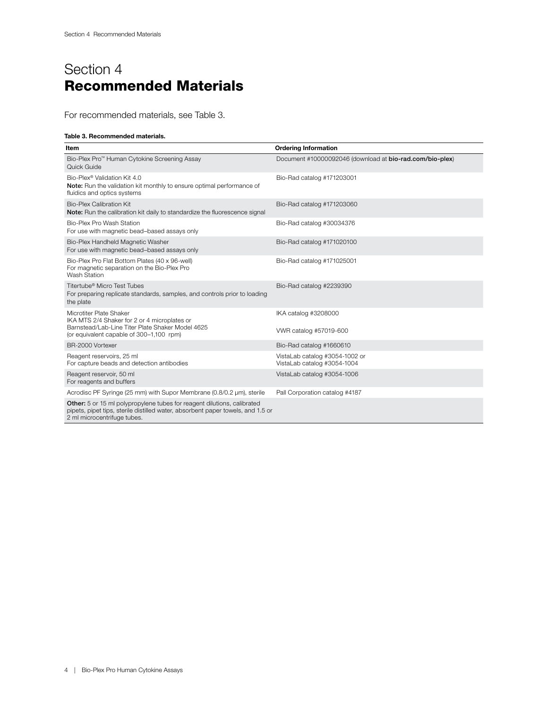# <span id="page-5-0"></span>Section 4 Recommended Materials

For recommended materials, see Table 3.

#### Table 3. Recommended materials.

| Item                                                                                                                                                                                      | <b>Ordering Information</b>                                   |
|-------------------------------------------------------------------------------------------------------------------------------------------------------------------------------------------|---------------------------------------------------------------|
| Bio-Plex Pro™ Human Cytokine Screening Assay<br>Quick Guide                                                                                                                               | Document #10000092046 (download at bio-rad.com/bio-plex)      |
| Bio-Plex <sup>®</sup> Validation Kit 4.0<br>Note: Run the validation kit monthly to ensure optimal performance of<br>fluidics and optics systems                                          | Bio-Rad catalog #171203001                                    |
| <b>Bio-Plex Calibration Kit</b><br>Note: Run the calibration kit daily to standardize the fluorescence signal                                                                             | Bio-Rad catalog #171203060                                    |
| Bio-Plex Pro Wash Station<br>For use with magnetic bead-based assays only                                                                                                                 | Bio-Rad catalog #30034376                                     |
| Bio-Plex Handheld Magnetic Washer<br>For use with magnetic bead-based assays only                                                                                                         | Bio-Rad catalog #171020100                                    |
| Bio-Plex Pro Flat Bottom Plates (40 x 96-well)<br>For magnetic separation on the Bio-Plex Pro<br>Wash Station                                                                             | Bio-Rad catalog #171025001                                    |
| Titertube <sup>®</sup> Micro Test Tubes<br>For preparing replicate standards, samples, and controls prior to loading<br>the plate                                                         | Bio-Rad catalog #2239390                                      |
| Microtiter Plate Shaker<br>IKA MTS 2/4 Shaker for 2 or 4 microplates or<br>Barnstead/Lab-Line Titer Plate Shaker Model 4625<br>(or equivalent capable of 300-1,100 rpm)                   | IKA catalog #3208000<br>VWR catalog #57019-600                |
| BR-2000 Vortexer                                                                                                                                                                          | Bio-Rad catalog #1660610                                      |
| Reagent reservoirs, 25 ml<br>For capture beads and detection antibodies                                                                                                                   | VistaLab catalog #3054-1002 or<br>VistaLab catalog #3054-1004 |
| Reagent reservoir, 50 ml<br>For reagents and buffers                                                                                                                                      | VistaLab catalog #3054-1006                                   |
| Acrodisc PF Syringe (25 mm) with Supor Membrane (0.8/0.2 µm), sterile                                                                                                                     | Pall Corporation catalog #4187                                |
| Other: 5 or 15 ml polypropylene tubes for reagent dilutions, calibrated<br>pipets, pipet tips, sterile distilled water, absorbent paper towels, and 1.5 or<br>2 ml microcentrifuge tubes. |                                                               |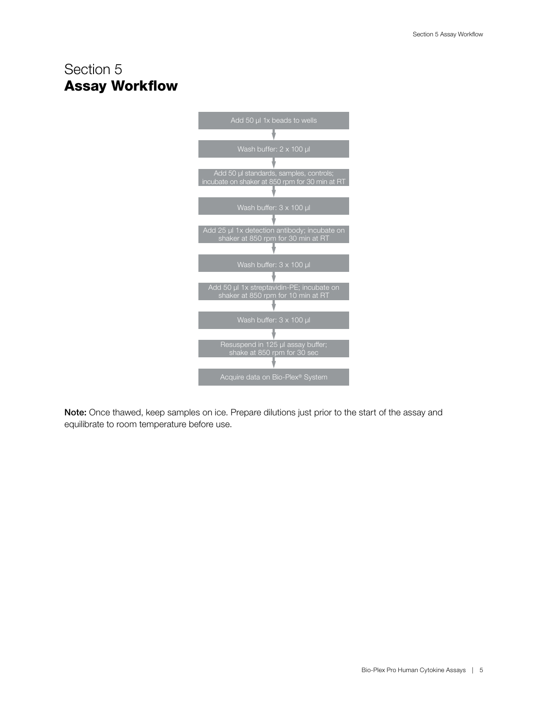# <span id="page-6-0"></span>Section 5 Assay Workflow



Note: Once thawed, keep samples on ice. Prepare dilutions just prior to the start of the assay and equilibrate to room temperature before use.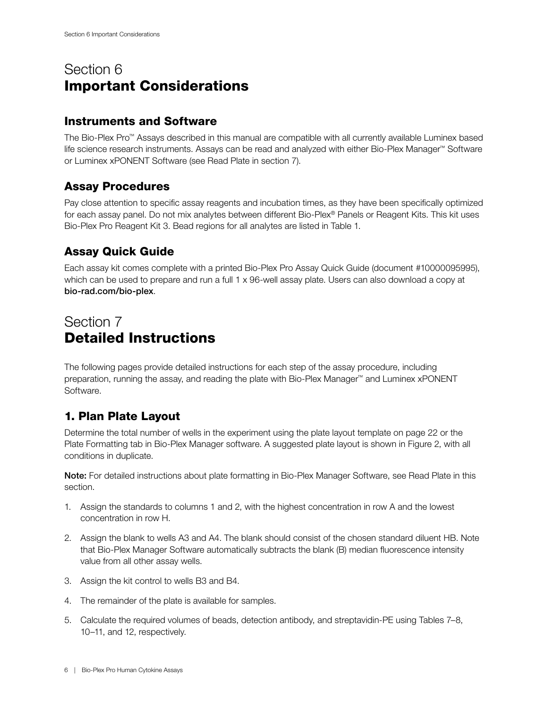# <span id="page-7-0"></span>Section 6 Important Considerations

### Instruments and Software

The Bio-Plex Pro™ Assays described in this manual are compatible with all currently available Luminex based life science research instruments. Assays can be read and analyzed with either Bio-Plex Manager™ Software or Luminex xPONENT Software (see Read Plate in section 7).

## Assay Procedures

Pay close attention to specific assay reagents and incubation times, as they have been specifically optimized for each assay panel. Do not mix analytes between different Bio-Plex® Panels or Reagent Kits. This kit uses Bio-Plex Pro Reagent Kit 3. Bead regions for all analytes are listed in Table 1.

## Assay Quick Guide

Each assay kit comes complete with a printed Bio-Plex Pro Assay Quick Guide (document #10000095995), which can be used to prepare and run a full 1 x 96-well assay plate. Users can also download a copy at [bio-rad.com/bio-plex](http://bio-rad.com/bio-plex).

# Section 7 Detailed Instructions

The following pages provide detailed instructions for each step of the assay procedure, including preparation, running the assay, and reading the plate with Bio-Plex Manager™ and Luminex xPONENT Software.

# 1. Plan Plate Layout

Determine the total number of wells in the experiment using the plate layout template on page 22 or the Plate Formatting tab in Bio-Plex Manager software. A suggested plate layout is shown in Figure 2, with all conditions in duplicate.

Note: For detailed instructions about plate formatting in Bio-Plex Manager Software, see Read Plate in this section.

- 1. Assign the standards to columns 1 and 2, with the highest concentration in row A and the lowest concentration in row H.
- 2. Assign the blank to wells A3 and A4. The blank should consist of the chosen standard diluent HB. Note that Bio-Plex Manager Software automatically subtracts the blank (B) median fluorescence intensity value from all other assay wells.
- 3. Assign the kit control to wells B3 and B4.
- 4. The remainder of the plate is available for samples.
- 5. Calculate the required volumes of beads, detection antibody, and streptavidin-PE using Tables 7–8, 10–11, and 12, respectively.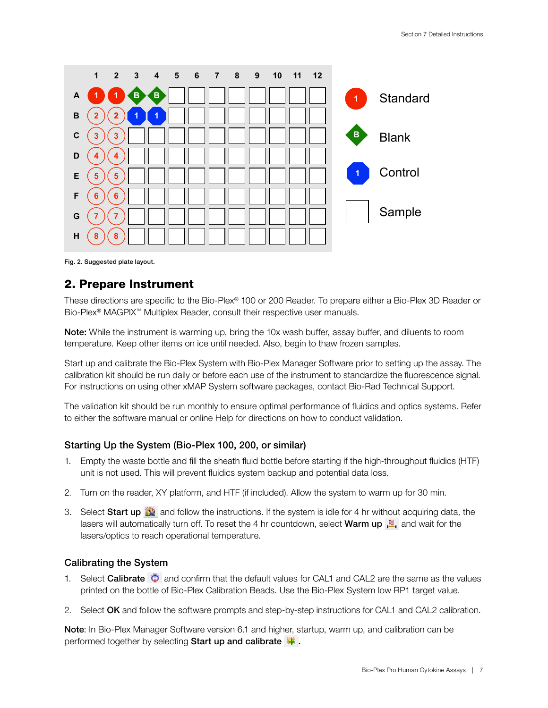<span id="page-8-0"></span>

Fig. 2. Suggested plate layout.

### 2. Prepare Instrument

These directions are specific to the Bio-Plex® 100 or 200 Reader. To prepare either a Bio-Plex 3D Reader or Bio-Plex® MAGPIX™ Multiplex Reader, consult their respective user manuals.

Note: While the instrument is warming up, bring the 10x wash buffer, assay buffer, and diluents to room temperature. Keep other items on ice until needed. Also, begin to thaw frozen samples.

Start up and calibrate the Bio-Plex System with Bio-Plex Manager Software prior to setting up the assay. The calibration kit should be run daily or before each use of the instrument to standardize the fluorescence signal. For instructions on using other xMAP System software packages, contact Bio-Rad Technical Support.

The validation kit should be run monthly to ensure optimal performance of fluidics and optics systems. Refer to either the software manual or online Help for directions on how to conduct validation.

#### Starting Up the System (Bio-Plex 100, 200, or similar)

- 1. Empty the waste bottle and fill the sheath fluid bottle before starting if the high-throughput fluidics (HTF) unit is not used. This will prevent fluidics system backup and potential data loss.
- 2. Turn on the reader, XY platform, and HTF (if included). Allow the system to warm up for 30 min.
- 3. Select Start up **and follow the instructions.** If the system is idle for 4 hr without acquiring data, the lasers will automatically turn off. To reset the 4 hr countdown, select Warm up  $\frac{m}{n}$  and wait for the lasers/optics to reach operational temperature.

#### Calibrating the System

- 1. Select **Calibrate**  $\ddot{\bullet}$  and confirm that the default values for CAL1 and CAL2 are the same as the values printed on the bottle of Bio-Plex Calibration Beads. Use the Bio-Plex System low RP1 target value.
- 2. Select OK and follow the software prompts and step-by-step instructions for CAL1 and CAL2 calibration.

Note: In Bio-Plex Manager Software version 6.1 and higher, startup, warm up, and calibration can be performed together by selecting Start up and calibrate  $\ddot{\bullet}$ .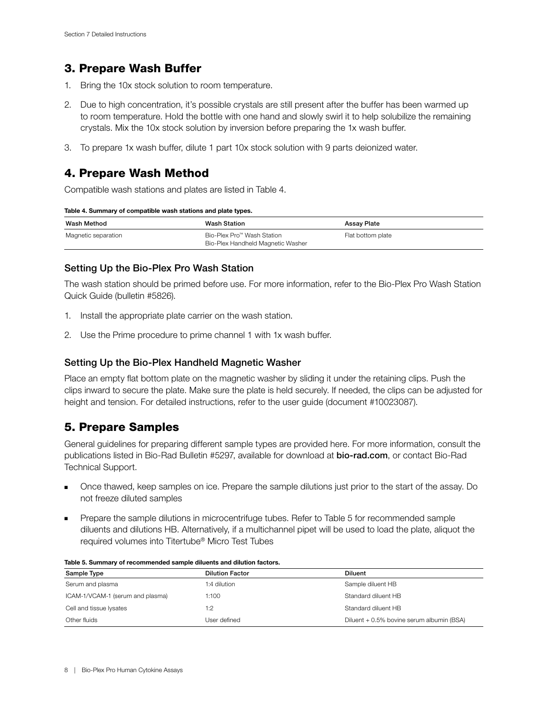### <span id="page-9-0"></span>3. Prepare Wash Buffer

- 1. Bring the 10x stock solution to room temperature.
- 2. Due to high concentration, it's possible crystals are still present after the buffer has been warmed up to room temperature. Hold the bottle with one hand and slowly swirl it to help solubilize the remaining crystals. Mix the 10x stock solution by inversion before preparing the 1x wash buffer.
- 3. To prepare 1x wash buffer, dilute 1 part 10x stock solution with 9 parts deionized water.

### 4. Prepare Wash Method

Compatible wash stations and plates are listed in Table 4.

| Table 4. Summary of compatible wash stations and plate types. |
|---------------------------------------------------------------|
|---------------------------------------------------------------|

| Wash Method         | <b>Wash Station</b>                                             | Assay Plate       |
|---------------------|-----------------------------------------------------------------|-------------------|
| Magnetic separation | Bio-Plex Pro™ Wash Station<br>Bio-Plex Handheld Magnetic Washer | Flat bottom plate |

#### Setting Up the Bio-Plex Pro Wash Station

The wash station should be primed before use. For more information, refer to the Bio-Plex Pro Wash Station Quick Guide (bulletin #5826).

- 1. Install the appropriate plate carrier on the wash station.
- 2. Use the Prime procedure to prime channel 1 with 1x wash buffer.

#### Setting Up the Bio-Plex Handheld Magnetic Washer

Place an empty flat bottom plate on the magnetic washer by sliding it under the retaining clips. Push the clips inward to secure the plate. Make sure the plate is held securely. If needed, the clips can be adjusted for height and tension. For detailed instructions, refer to the user guide (document #10023087).

### 5. Prepare Samples

General guidelines for preparing different sample types are provided here. For more information, consult the publications listed in Bio-Rad Bulletin #5297, available for download at [bio-rad.com](http://bio-rad.com), or contact Bio-Rad Technical Support.

- Once thawed, keep samples on ice. Prepare the sample dilutions just prior to the start of the assay. Do not freeze diluted samples
- Prepare the sample dilutions in microcentrifuge tubes. Refer to Table 5 for recommended sample diluents and dilutions HB. Alternatively, if a multichannel pipet will be used to load the plate, aliquot the required volumes into Titertube® Micro Test Tubes

| Sample Type                      | <b>Dilution Factor</b> | <b>Diluent</b>                            |
|----------------------------------|------------------------|-------------------------------------------|
| Serum and plasma                 | 1:4 dilution           | Sample diluent HB                         |
| ICAM-1/VCAM-1 (serum and plasma) | 1:100                  | Standard diluent HB                       |
| Cell and tissue lysates          | 1:2                    | Standard diluent HB                       |
| Other fluids                     | User defined           | Diluent + 0.5% bovine serum albumin (BSA) |

|  | Table 5. Summary of recommended sample diluents and dilution factors. |
|--|-----------------------------------------------------------------------|
|--|-----------------------------------------------------------------------|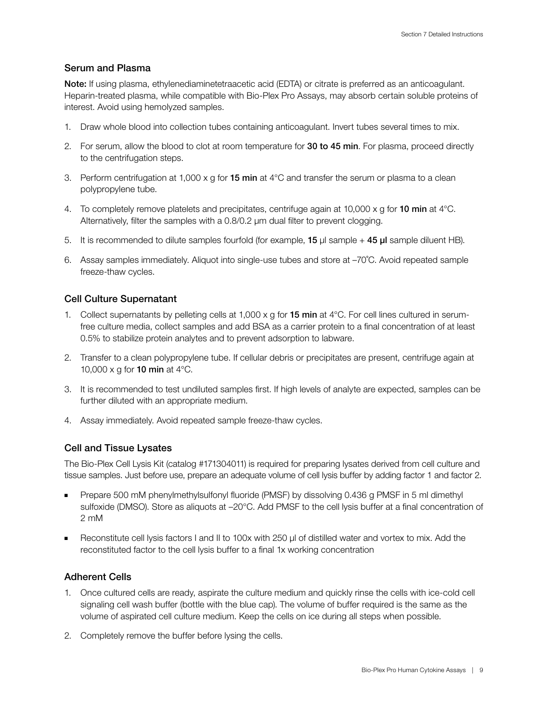#### Serum and Plasma

Note: If using plasma, ethylenediaminetetraacetic acid (EDTA) or citrate is preferred as an anticoagulant. Heparin-treated plasma, while compatible with Bio-Plex Pro Assays, may absorb certain soluble proteins of interest. Avoid using hemolyzed samples.

- 1. Draw whole blood into collection tubes containing anticoagulant. Invert tubes several times to mix.
- 2. For serum, allow the blood to clot at room temperature for 30 to 45 min. For plasma, proceed directly to the centrifugation steps.
- 3. Perform centrifugation at 1,000 x g for **15 min** at  $4^{\circ}$ C and transfer the serum or plasma to a clean polypropylene tube.
- 4. To completely remove platelets and precipitates, centrifuge again at 10,000 x q for 10 min at  $4^{\circ}$ C. Alternatively, filter the samples with a 0.8/0.2 μm dual filter to prevent clogging.
- 5. It is recommended to dilute samples fourfold (for example, 15  $\mu$ I sample + 45  $\mu$ I sample diluent HB).
- 6. Assay samples immediately. Aliquot into single-use tubes and store at –70˚C. Avoid repeated sample freeze-thaw cycles.

#### Cell Culture Supernatant

- 1. Collect supernatants by pelleting cells at  $1,000 \times g$  for **15 min** at  $4^{\circ}$ C. For cell lines cultured in serumfree culture media, collect samples and add BSA as a carrier protein to a final concentration of at least 0.5% to stabilize protein analytes and to prevent adsorption to labware.
- 2. Transfer to a clean polypropylene tube. If cellular debris or precipitates are present, centrifuge again at 10,000 x g for **10 min** at  $4^{\circ}$ C.
- 3. It is recommended to test undiluted samples first. If high levels of analyte are expected, samples can be further diluted with an appropriate medium.
- 4. Assay immediately. Avoid repeated sample freeze-thaw cycles.

#### Cell and Tissue Lysates

The Bio-Plex Cell Lysis Kit (catalog #171304011) is required for preparing lysates derived from cell culture and tissue samples. Just before use, prepare an adequate volume of cell lysis buffer by adding factor 1 and factor 2.

- Prepare 500 mM phenylmethylsulfonyl fluoride (PMSF) by dissolving 0.436 g PMSF in 5 ml dimethyl sulfoxide (DMSO). Store as aliquots at  $-20^{\circ}$ C. Add PMSF to the cell lysis buffer at a final concentration of 2 mM
- Reconstitute cell lysis factors I and II to 100x with 250 μl of distilled water and vortex to mix. Add the reconstituted factor to the cell lysis buffer to a final 1x working concentration

#### Adherent Cells

- 1. Once cultured cells are ready, aspirate the culture medium and quickly rinse the cells with ice-cold cell signaling cell wash buffer (bottle with the blue cap). The volume of buffer required is the same as the volume of aspirated cell culture medium. Keep the cells on ice during all steps when possible.
- 2. Completely remove the buffer before lysing the cells.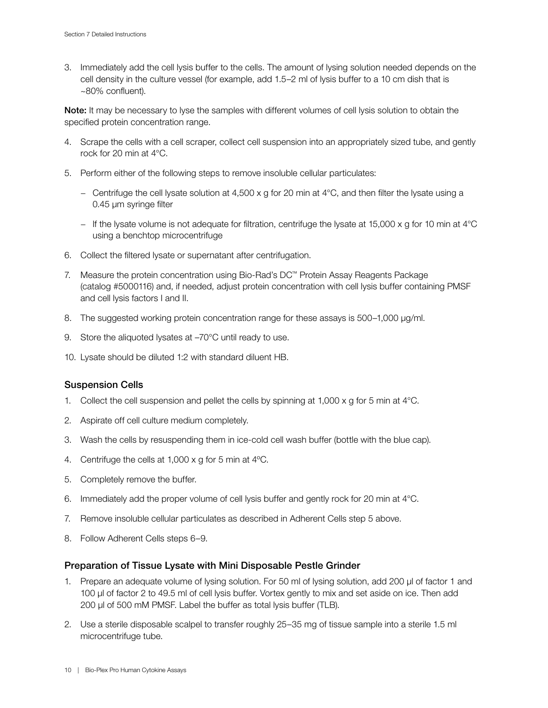3. Immediately add the cell lysis buffer to the cells. The amount of lysing solution needed depends on the cell density in the culture vessel (for example, add 1.5–2 ml of lysis buffer to a 10 cm dish that is ~80% confluent).

Note: It may be necessary to lyse the samples with different volumes of cell lysis solution to obtain the specified protein concentration range.

- 4. Scrape the cells with a cell scraper, collect cell suspension into an appropriately sized tube, and gently rock for 20 min at 4°C.
- 5. Perform either of the following steps to remove insoluble cellular particulates:
	- − Centrifuge the cell lysate solution at 4,500 x g for 20 min at 4°C, and then filter the lysate using a 0.45 μm syringe filter
	- − If the lysate volume is not adequate for filtration, centrifuge the lysate at 15,000 x g for 10 min at 4°C using a benchtop microcentrifuge
- 6. Collect the filtered lysate or supernatant after centrifugation.
- 7. Measure the protein concentration using Bio-Rad's DC™ Protein Assay Reagents Package (catalog #5000116) and, if needed, adjust protein concentration with cell lysis buffer containing PMSF and cell lysis factors I and II.
- 8. The suggested working protein concentration range for these assays is 500–1,000 μg/ml.
- 9. Store the aliquoted lysates at  $-70^{\circ}$ C until ready to use.
- 10. Lysate should be diluted 1:2 with standard diluent HB.

#### Suspension Cells

- 1. Collect the cell suspension and pellet the cells by spinning at 1,000 x g for 5 min at  $4^{\circ}$ C.
- 2. Aspirate off cell culture medium completely.
- 3. Wash the cells by resuspending them in ice-cold cell wash buffer (bottle with the blue cap).
- 4. Centrifuge the cells at 1,000 x g for 5 min at 4ºC.
- 5. Completely remove the buffer.
- 6. Immediately add the proper volume of cell lysis buffer and gently rock for 20 min at 4°C.
- 7. Remove insoluble cellular particulates as described in Adherent Cells step 5 above.
- 8. Follow Adherent Cells steps 6–9.

#### Preparation of Tissue Lysate with Mini Disposable Pestle Grinder

- 1. Prepare an adequate volume of lysing solution. For 50 ml of lysing solution, add 200 µl of factor 1 and 100 µl of factor 2 to 49.5 ml of cell lysis buffer. Vortex gently to mix and set aside on ice. Then add 200 µl of 500 mM PMSF. Label the buffer as total lysis buffer (TLB).
- 2. Use a sterile disposable scalpel to transfer roughly 25–35 mg of tissue sample into a sterile 1.5 ml microcentrifuge tube.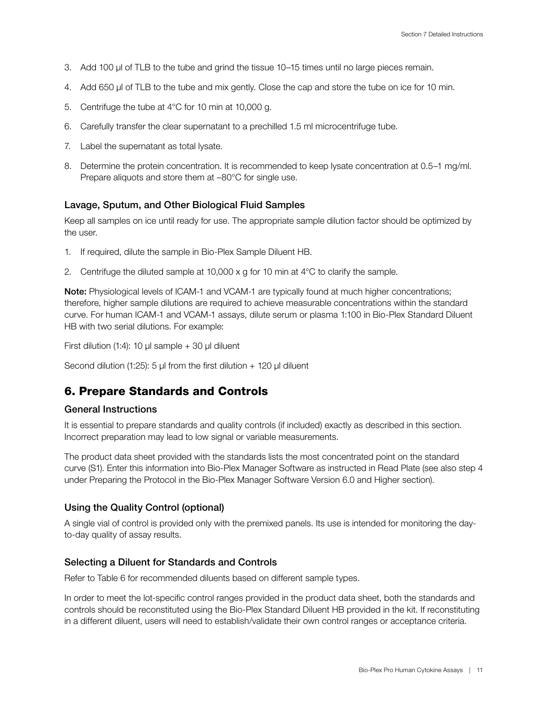- <span id="page-12-0"></span>3. Add 100 µl of TLB to the tube and grind the tissue 10–15 times until no large pieces remain.
- 4. Add 650 µl of TLB to the tube and mix gently. Close the cap and store the tube on ice for 10 min.
- 5. Centrifuge the tube at 4°C for 10 min at 10,000 g.
- 6. Carefully transfer the clear supernatant to a prechilled 1.5 ml microcentrifuge tube.
- 7. Label the supernatant as total lysate.
- 8. Determine the protein concentration. It is recommended to keep lysate concentration at 0.5–1 mg/ml. Prepare aliquots and store them at –80°C for single use.

#### Lavage, Sputum, and Other Biological Fluid Samples

Keep all samples on ice until ready for use. The appropriate sample dilution factor should be optimized by the user.

- 1. If required, dilute the sample in Bio-Plex Sample Diluent HB.
- 2. Centrifuge the diluted sample at  $10,000 \times g$  for 10 min at  $4^{\circ}$ C to clarify the sample.

Note: Physiological levels of ICAM-1 and VCAM-1 are typically found at much higher concentrations; therefore, higher sample dilutions are required to achieve measurable concentrations within the standard curve. For human ICAM-1 and VCAM-1 assays, dilute serum or plasma 1:100 in Bio-Plex Standard Diluent HB with two serial dilutions. For example:

First dilution (1:4): 10 μl sample  $+$  30 μl diluent

Second dilution (1:25): 5 μl from the first dilution  $+$  120 μl diluent

### 6. Prepare Standards and Controls

#### General Instructions

It is essential to prepare standards and quality controls (if included) exactly as described in this section. Incorrect preparation may lead to low signal or variable measurements.

The product data sheet provided with the standards lists the most concentrated point on the standard curve (S1). Enter this information into Bio-Plex Manager Software as instructed in Read Plate (see also step 4 under Preparing the Protocol in the Bio-Plex Manager Software Version 6.0 and Higher section).

#### Using the Quality Control (optional)

A single vial of control is provided only with the premixed panels. Its use is intended for monitoring the dayto-day quality of assay results.

#### Selecting a Diluent for Standards and Controls

Refer to Table 6 for recommended diluents based on different sample types.

In order to meet the lot-specific control ranges provided in the product data sheet, both the standards and controls should be reconstituted using the Bio-Plex Standard Diluent HB provided in the kit. If reconstituting in a different diluent, users will need to establish/validate their own control ranges or acceptance criteria.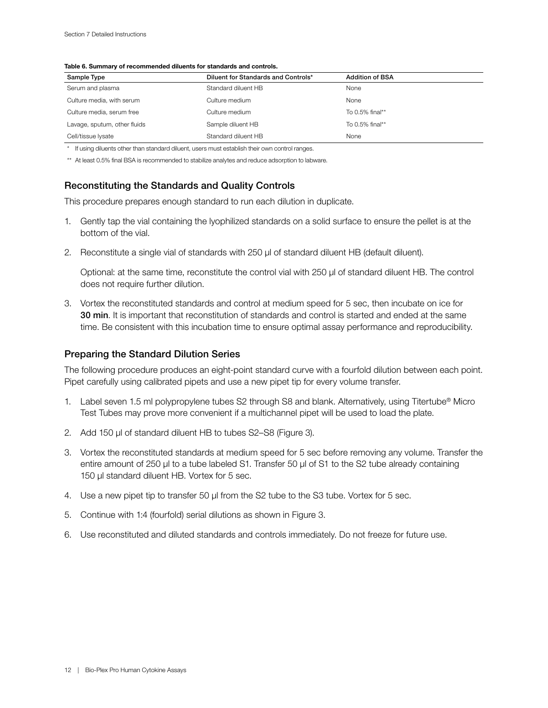#### Table 6. Summary of recommended diluents for standards and controls.

| Sample Type                  | Diluent for Standards and Controls* | <b>Addition of BSA</b> |
|------------------------------|-------------------------------------|------------------------|
| Serum and plasma             | Standard diluent HB                 | None                   |
| Culture media, with serum    | Culture medium                      | None                   |
| Culture media, serum free    | Culture medium                      | To 0.5% final**        |
| Lavage, sputum, other fluids | Sample diluent HB                   | To 0.5% final**        |
| Cell/tissue lysate           | Standard diluent HB                 | None                   |

\* If using diluents other than standard diluent, users must establish their own control ranges.

\*\* At least 0.5% final BSA is recommended to stabilize analytes and reduce adsorption to labware.

#### Reconstituting the Standards and Quality Controls

This procedure prepares enough standard to run each dilution in duplicate.

- 1. Gently tap the vial containing the lyophilized standards on a solid surface to ensure the pellet is at the bottom of the vial.
- 2. Reconstitute a single vial of standards with 250 µl of standard diluent HB (default diluent).

Optional: at the same time, reconstitute the control vial with 250 µl of standard diluent HB. The control does not require further dilution.

3. Vortex the reconstituted standards and control at medium speed for 5 sec, then incubate on ice for 30 min. It is important that reconstitution of standards and control is started and ended at the same time. Be consistent with this incubation time to ensure optimal assay performance and reproducibility.

#### Preparing the Standard Dilution Series

The following procedure produces an eight-point standard curve with a fourfold dilution between each point. Pipet carefully using calibrated pipets and use a new pipet tip for every volume transfer.

- 1. Label seven 1.5 ml polypropylene tubes S2 through S8 and blank. Alternatively, using Titertube® Micro Test Tubes may prove more convenient if a multichannel pipet will be used to load the plate.
- 2. Add 150 µl of standard diluent HB to tubes S2-S8 (Figure 3).
- 3. Vortex the reconstituted standards at medium speed for 5 sec before removing any volume. Transfer the entire amount of 250 µl to a tube labeled S1. Transfer 50 µl of S1 to the S2 tube already containing 150 µl standard diluent HB. Vortex for 5 sec.
- 4. Use a new pipet tip to transfer 50 µl from the S2 tube to the S3 tube. Vortex for 5 sec.
- 5. Continue with 1:4 (fourfold) serial dilutions as shown in Figure 3.
- 6. Use reconstituted and diluted standards and controls immediately. Do not freeze for future use.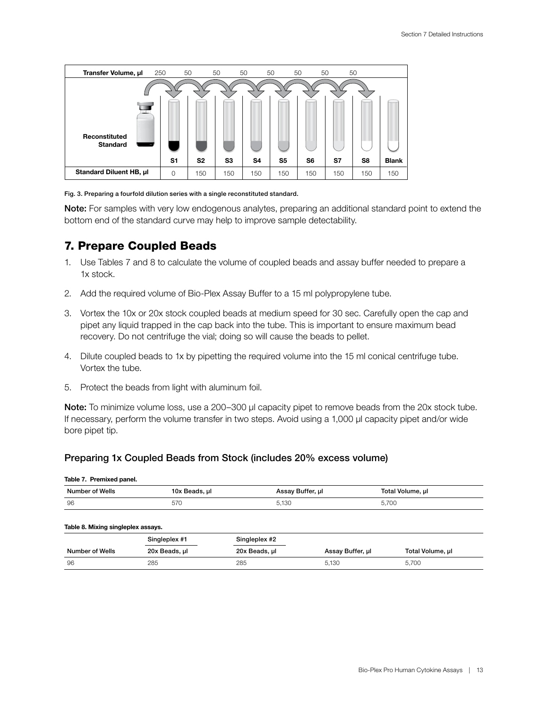<span id="page-14-0"></span>

Fig. 3. Preparing a fourfold dilution series with a single reconstituted standard.

Note: For samples with very low endogenous analytes, preparing an additional standard point to extend the bottom end of the standard curve may help to improve sample detectability.

### 7. Prepare Coupled Beads

- 1. Use Tables 7 and 8 to calculate the volume of coupled beads and assay buffer needed to prepare a 1x stock.
- 2. Add the required volume of Bio-Plex Assay Buffer to a 15 ml polypropylene tube.
- 3. Vortex the 10x or 20x stock coupled beads at medium speed for 30 sec. Carefully open the cap and pipet any liquid trapped in the cap back into the tube. This is important to ensure maximum bead recovery. Do not centrifuge the vial; doing so will cause the beads to pellet.
- 4. Dilute coupled beads to 1x by pipetting the required volume into the 15 ml conical centrifuge tube. Vortex the tube.
- 5. Protect the beads from light with aluminum foil.

Note: To minimize volume loss, use a 200–300 μl capacity pipet to remove beads from the 20x stock tube. If necessary, perform the volume transfer in two steps. Avoid using a 1,000 μl capacity pipet and/or wide bore pipet tip.

#### Preparing 1x Coupled Beads from Stock (includes 20% excess volume)

#### Table 7. Premixed panel.

| <b>Number of Wells</b> |                                                     | Buffer, ul<br><b>R</b> 330 | Γotal Volume, μl |
|------------------------|-----------------------------------------------------|----------------------------|------------------|
| 96                     | 570<br>$\cdot$ , $\cdot$ , $\cdot$<br>$\sim$ $\sim$ | .130                       |                  |

#### Table 8. Mixing singleplex assays.

|                 | Singleplex #1 | Singleplex #2 |                  |                  |
|-----------------|---------------|---------------|------------------|------------------|
| Number of Wells | 20x Beads, ul | 20x Beads, µl | Assay Buffer, ul | Total Volume, µl |
| - 96            | 285           | 285           | 5,130            | 5,700            |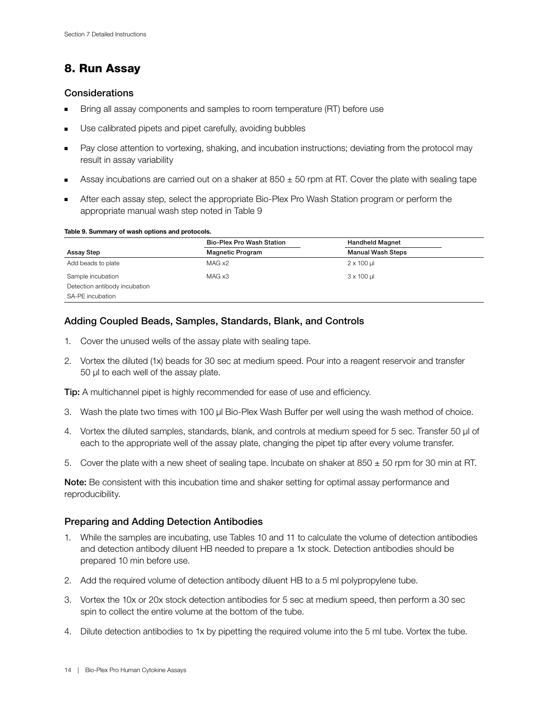## 8. Run Assay

#### **Considerations**

- Bring all assay components and samples to room temperature (RT) before use
- Use calibrated pipets and pipet carefully, avoiding bubbles
- Pay close attention to vortexing, shaking, and incubation instructions; deviating from the protocol may result in assay variability
- Assay incubations are carried out on a shaker at  $850 \pm 50$  rpm at RT. Cover the plate with sealing tape
- After each assay step, select the appropriate Bio-Plex Pro Wash Station program or perform the appropriate manual wash step noted in Table 9

#### Table 9. Summary of wash options and protocols.

|                               | Bio-Plex Pro Wash Station | <b>Handheld Magnet</b>   |
|-------------------------------|---------------------------|--------------------------|
| Assay Step                    | <b>Magnetic Program</b>   | <b>Manual Wash Steps</b> |
| Add beads to plate            | MAG x2                    | $2 \times 100$ µ         |
| Sample incubation             | MAG x3                    | $3 \times 100$ µ         |
| Detection antibody incubation |                           |                          |
| SA-PE incubation              |                           |                          |

#### Adding Coupled Beads, Samples, Standards, Blank, and Controls

- 1. Cover the unused wells of the assay plate with sealing tape.
- 2. Vortex the diluted (1x) beads for 30 sec at medium speed. Pour into a reagent reservoir and transfer 50 µl to each well of the assay plate.

Tip: A multichannel pipet is highly recommended for ease of use and efficiency.

- 3. Wash the plate two times with 100 µl Bio-Plex Wash Buffer per well using the wash method of choice.
- 4. Vortex the diluted samples, standards, blank, and controls at medium speed for 5 sec. Transfer 50 µl of each to the appropriate well of the assay plate, changing the pipet tip after every volume transfer.
- 5. Cover the plate with a new sheet of sealing tape. Incubate on shaker at  $850 \pm 50$  rpm for 30 min at RT.

Note: Be consistent with this incubation time and shaker setting for optimal assay performance and reproducibility.

#### Preparing and Adding Detection Antibodies

- 1. While the samples are incubating, use Tables 10 and 11 to calculate the volume of detection antibodies and detection antibody diluent HB needed to prepare a 1x stock. Detection antibodies should be prepared 10 min before use.
- 2. Add the required volume of detection antibody diluent HB to a 5 ml polypropylene tube.
- 3. Vortex the 10x or 20x stock detection antibodies for 5 sec at medium speed, then perform a 30 sec spin to collect the entire volume at the bottom of the tube.
- 4. Dilute detection antibodies to 1x by pipetting the required volume into the 5 ml tube. Vortex the tube.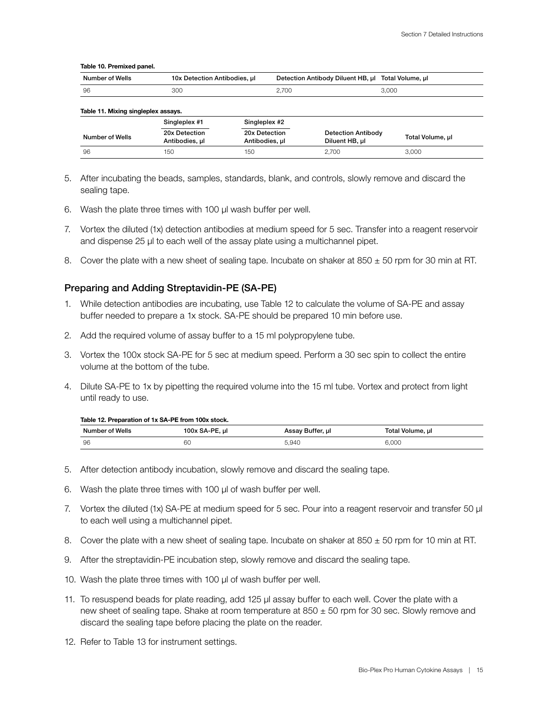#### Table 10. Premixed panel.

| Table 11. Mixing singleplex assays. |                                 |                                 |                                             |                  |
|-------------------------------------|---------------------------------|---------------------------------|---------------------------------------------|------------------|
|                                     | Singleplex #1                   | Singleplex #2                   |                                             |                  |
| Number of Wells                     | 20x Detection<br>Antibodies, ul | 20x Detection<br>Antibodies, ul | <b>Detection Antibody</b><br>Diluent HB, ul | Total Volume, µl |
| 96                                  | 150                             | 150                             | 2.700                                       | 3.000            |

- 5. After incubating the beads, samples, standards, blank, and controls, slowly remove and discard the sealing tape.
- 6. Wash the plate three times with 100 µl wash buffer per well.
- 7. Vortex the diluted (1x) detection antibodies at medium speed for 5 sec. Transfer into a reagent reservoir and dispense 25 µl to each well of the assay plate using a multichannel pipet.
- 8. Cover the plate with a new sheet of sealing tape. Incubate on shaker at  $850 \pm 50$  rpm for 30 min at RT.

#### Preparing and Adding Streptavidin-PE (SA-PE)

- 1. While detection antibodies are incubating, use Table 12 to calculate the volume of SA-PE and assay buffer needed to prepare a 1x stock. SA-PE should be prepared 10 min before use.
- 2. Add the required volume of assay buffer to a 15 ml polypropylene tube.
- 3. Vortex the 100x stock SA-PE for 5 sec at medium speed. Perform a 30 sec spin to collect the entire volume at the bottom of the tube.
- 4. Dilute SA-PE to 1x by pipetting the required volume into the 15 ml tube. Vortex and protect from light until ready to use.

#### Table 12. Preparation of 1x SA-PF from 100x stock.

| Number of Wells | 100x SA-PE,<br>. ul | Assay Buffer, µl | Total Volume, µl |
|-----------------|---------------------|------------------|------------------|
| 96              | 60                  |                  | .000             |

- 5. After detection antibody incubation, slowly remove and discard the sealing tape.
- 6. Wash the plate three times with 100 µl of wash buffer per well.
- 7. Vortex the diluted (1x) SA-PE at medium speed for 5 sec. Pour into a reagent reservoir and transfer 50 µl to each well using a multichannel pipet.
- 8. Cover the plate with a new sheet of sealing tape. Incubate on shaker at  $850 \pm 50$  rpm for 10 min at RT.
- 9. After the streptavidin-PE incubation step, slowly remove and discard the sealing tape.
- 10. Wash the plate three times with 100 µl of wash buffer per well.
- 11. To resuspend beads for plate reading, add 125 µl assay buffer to each well. Cover the plate with a new sheet of sealing tape. Shake at room temperature at  $850 \pm 50$  rpm for 30 sec. Slowly remove and discard the sealing tape before placing the plate on the reader.
- 12. Refer to Table 13 for instrument settings.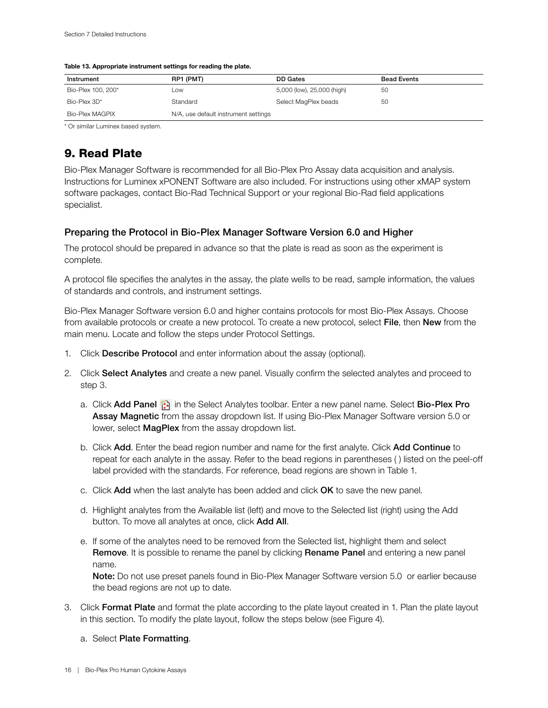| Instrument         | RP1 (PMT)                            | DD Gates                   | <b>Bead Events</b> |
|--------------------|--------------------------------------|----------------------------|--------------------|
| Bio-Plex 100, 200* | _OW                                  | 5,000 (low), 25,000 (high) | 50                 |
| Bio-Plex 3D*       | Standard                             | Select MagPlex beads       | 50                 |
| Bio-Plex MAGPIX    | N/A, use default instrument settings |                            |                    |

#### <span id="page-17-0"></span>Table 13. Appropriate instrument settings for reading the plate.

\* Or similar Luminex based system.

### 9. Read Plate

Bio-Plex Manager Software is recommended for all Bio-Plex Pro Assay data acquisition and analysis. Instructions for Luminex xPONENT Software are also included. For instructions using other xMAP system software packages, contact Bio-Rad Technical Support or your regional Bio-Rad field applications specialist.

#### Preparing the Protocol in Bio-Plex Manager Software Version 6.0 and Higher

The protocol should be prepared in advance so that the plate is read as soon as the experiment is complete.

A protocol file specifies the analytes in the assay, the plate wells to be read, sample information, the values of standards and controls, and instrument settings.

Bio-Plex Manager Software version 6.0 and higher contains protocols for most Bio-Plex Assays. Choose from available protocols or create a new protocol. To create a new protocol, select File, then New from the main menu. Locate and follow the steps under Protocol Settings.

- 1. Click Describe Protocol and enter information about the assay (optional).
- 2. Click Select Analytes and create a new panel. Visually confirm the selected analytes and proceed to step 3.
	- a. Click Add Panel in the Select Analytes toolbar. Enter a new panel name. Select Bio-Plex Pro Assay Magnetic from the assay dropdown list. If using Bio-Plex Manager Software version 5.0 or lower, select MagPlex from the assay dropdown list.
	- b. Click Add. Enter the bead region number and name for the first analyte. Click Add Continue to repeat for each analyte in the assay. Refer to the bead regions in parentheses ( ) listed on the peel-off label provided with the standards. For reference, bead regions are shown in Table 1.
	- c. Click Add when the last analyte has been added and click OK to save the new panel.
	- d. Highlight analytes from the Available list (left) and move to the Selected list (right) using the Add button. To move all analytes at once, click Add All.
	- e. If some of the analytes need to be removed from the Selected list, highlight them and select Remove. It is possible to rename the panel by clicking Rename Panel and entering a new panel name.

Note: Do not use preset panels found in Bio-Plex Manager Software version 5.0 or earlier because the bead regions are not up to date.

3. Click Format Plate and format the plate according to the plate layout created in 1. Plan the plate layout in this section. To modify the plate layout, follow the steps below (see Figure 4).

#### a. Select Plate Formatting.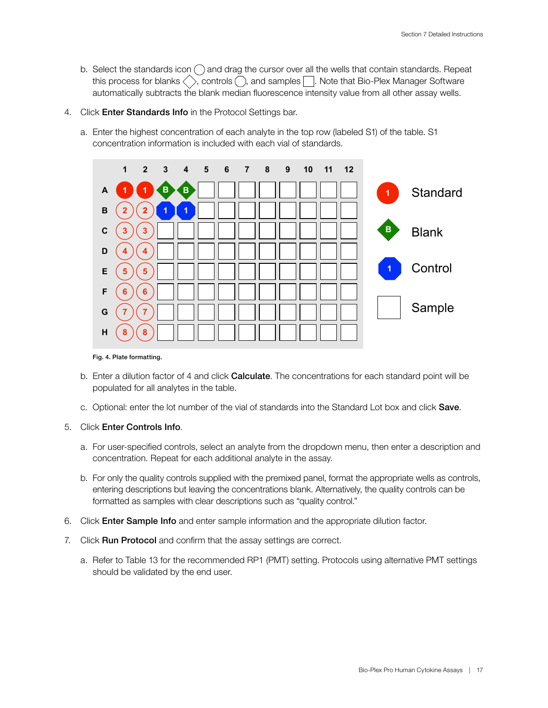- b. Select the standards icon  $\bigcap$  and drag the cursor over all the wells that contain standards. Repeat this process for blanks  $\langle \rangle$ , controls  $\langle \rangle$ , and samples  $| \rangle$ . Note that Bio-Plex Manager Software automatically subtracts the blank median fluorescence intensity value from all other assay wells.
- 4. Click Enter Standards Info in the Protocol Settings bar.
	- a. Enter the highest concentration of each analyte in the top row (labeled S1) of the table. S1 concentration information is included with each vial of standards.



#### Fig. 4. Plate formatting.

- b. Enter a dilution factor of 4 and click **Calculate**. The concentrations for each standard point will be populated for all analytes in the table.
- c. Optional: enter the lot number of the vial of standards into the Standard Lot box and click Save.

#### 5. Click Enter Controls Info.

- a. For user-specified controls, select an analyte from the dropdown menu, then enter a description and concentration. Repeat for each additional analyte in the assay.
- b. For only the quality controls supplied with the premixed panel, format the appropriate wells as controls, entering descriptions but leaving the concentrations blank. Alternatively, the quality controls can be formatted as samples with clear descriptions such as "quality control."
- 6. Click Enter Sample Info and enter sample information and the appropriate dilution factor.
- 7. Click Run Protocol and confirm that the assay settings are correct.
	- a. Refer to Table 13 for the recommended RP1 (PMT) setting. Protocols using alternative PMT settings should be validated by the end user.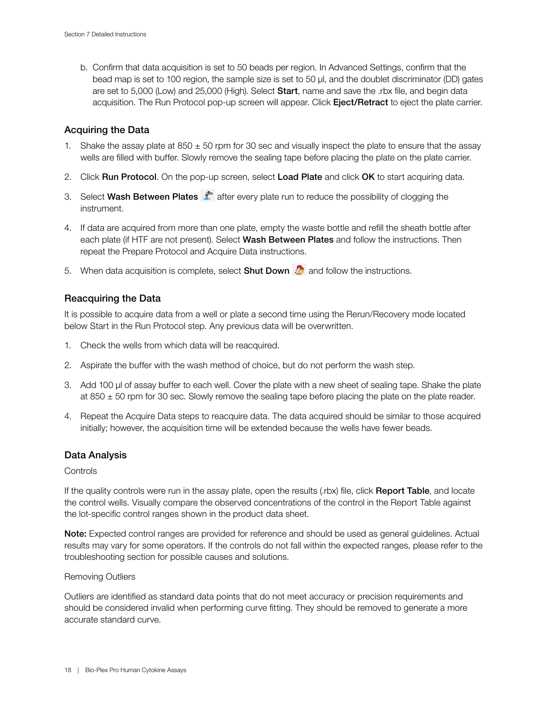b. Confirm that data acquisition is set to 50 beads per region. In Advanced Settings, confirm that the bead map is set to 100 region, the sample size is set to 50 µl, and the doublet discriminator (DD) gates are set to 5,000 (Low) and 25,000 (High). Select Start, name and save the .rbx file, and begin data acquisition. The Run Protocol pop-up screen will appear. Click Eject/Retract to eject the plate carrier.

#### Acquiring the Data

- 1. Shake the assay plate at  $850 \pm 50$  rpm for 30 sec and visually inspect the plate to ensure that the assay wells are filled with buffer. Slowly remove the sealing tape before placing the plate on the plate carrier.
- 2. Click Run Protocol. On the pop-up screen, select Load Plate and click OK to start acquiring data.
- 3. Select Wash Between Plates  $\hat{I}$  after every plate run to reduce the possibility of clogging the instrument.
- 4. If data are acquired from more than one plate, empty the waste bottle and refill the sheath bottle after each plate (if HTF are not present). Select **Wash Between Plates** and follow the instructions. Then repeat the Prepare Protocol and Acquire Data instructions.
- 5. When data acquisition is complete, select **Shut Down**  $\mathcal{L}$  and follow the instructions.

#### Reacquiring the Data

It is possible to acquire data from a well or plate a second time using the Rerun/Recovery mode located below Start in the Run Protocol step. Any previous data will be overwritten.

- 1. Check the wells from which data will be reacquired.
- 2. Aspirate the buffer with the wash method of choice, but do not perform the wash step.
- 3. Add 100 µl of assay buffer to each well. Cover the plate with a new sheet of sealing tape. Shake the plate at 850  $\pm$  50 rpm for 30 sec. Slowly remove the sealing tape before placing the plate on the plate reader.
- 4. Repeat the Acquire Data steps to reacquire data. The data acquired should be similar to those acquired initially; however, the acquisition time will be extended because the wells have fewer beads.

#### Data Analysis

#### **Controls**

If the quality controls were run in the assay plate, open the results (.rbx) file, click Report Table, and locate the control wells. Visually compare the observed concentrations of the control in the Report Table against the lot-specific control ranges shown in the product data sheet.

Note: Expected control ranges are provided for reference and should be used as general guidelines. Actual results may vary for some operators. If the controls do not fall within the expected ranges, please refer to the troubleshooting section for possible causes and solutions.

#### Removing Outliers

Outliers are identified as standard data points that do not meet accuracy or precision requirements and should be considered invalid when performing curve fitting. They should be removed to generate a more accurate standard curve.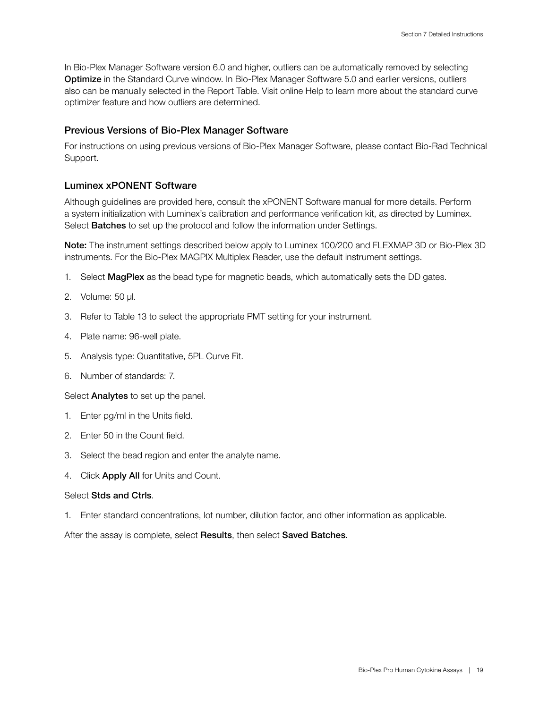In Bio-Plex Manager Software version 6.0 and higher, outliers can be automatically removed by selecting Optimize in the Standard Curve window. In Bio-Plex Manager Software 5.0 and earlier versions, outliers also can be manually selected in the Report Table. Visit online Help to learn more about the standard curve optimizer feature and how outliers are determined.

#### Previous Versions of Bio-Plex Manager Software

For instructions on using previous versions of Bio-Plex Manager Software, please contact Bio-Rad Technical Support.

#### Luminex xPONENT Software

Although guidelines are provided here, consult the xPONENT Software manual for more details. Perform a system initialization with Luminex's calibration and performance verification kit, as directed by Luminex. Select **Batches** to set up the protocol and follow the information under Settings.

Note: The instrument settings described below apply to Luminex 100/200 and FLEXMAP 3D or Bio-Plex 3D instruments. For the Bio-Plex MAGPIX Multiplex Reader, use the default instrument settings.

- 1. Select MagPlex as the bead type for magnetic beads, which automatically sets the DD gates.
- 2. Volume: 50 µl.
- 3. Refer to Table 13 to select the appropriate PMT setting for your instrument.
- 4. Plate name: 96-well plate.
- 5. Analysis type: Quantitative, 5PL Curve Fit.
- 6. Number of standards: 7.

Select **Analytes** to set up the panel.

- 1. Enter pg/ml in the Units field.
- 2. Enter 50 in the Count field.
- 3. Select the bead region and enter the analyte name.
- 4. Click **Apply All** for Units and Count.

#### Select Stds and Ctrls.

1. Enter standard concentrations, lot number, dilution factor, and other information as applicable.

After the assay is complete, select Results, then select Saved Batches.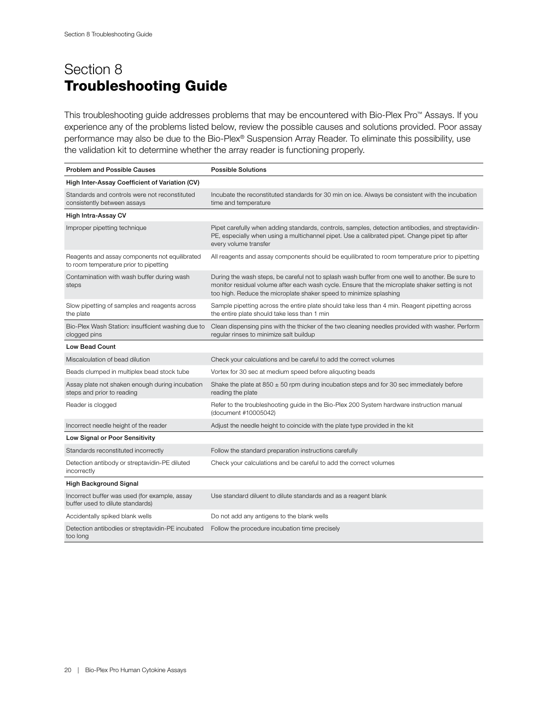# <span id="page-21-0"></span>Section 8 Troubleshooting Guide

This troubleshooting guide addresses problems that may be encountered with Bio-Plex Pro™ Assays. If you experience any of the problems listed below, review the possible causes and solutions provided. Poor assay performance may also be due to the Bio-Plex® Suspension Array Reader. To eliminate this possibility, use the validation kit to determine whether the array reader is functioning properly.

| <b>Problem and Possible Causes</b>                                                       | <b>Possible Solutions</b>                                                                                                                                                                                                                                                 |
|------------------------------------------------------------------------------------------|---------------------------------------------------------------------------------------------------------------------------------------------------------------------------------------------------------------------------------------------------------------------------|
| High Inter-Assay Coefficient of Variation (CV)                                           |                                                                                                                                                                                                                                                                           |
| Standards and controls were not reconstituted<br>consistently between assays             | Incubate the reconstituted standards for 30 min on ice. Always be consistent with the incubation<br>time and temperature                                                                                                                                                  |
| High Intra-Assay CV                                                                      |                                                                                                                                                                                                                                                                           |
| Improper pipetting technique                                                             | Pipet carefully when adding standards, controls, samples, detection antibodies, and streptavidin-<br>PE, especially when using a multichannel pipet. Use a calibrated pipet. Change pipet tip after<br>every volume transfer                                              |
| Reagents and assay components not equilibrated<br>to room temperature prior to pipetting | All reagents and assay components should be equilibrated to room temperature prior to pipetting                                                                                                                                                                           |
| Contamination with wash buffer during wash<br>steps                                      | During the wash steps, be careful not to splash wash buffer from one well to another. Be sure to<br>monitor residual volume after each wash cycle. Ensure that the microplate shaker setting is not<br>too high. Reduce the microplate shaker speed to minimize splashing |
| Slow pipetting of samples and reagents across<br>the plate                               | Sample pipetting across the entire plate should take less than 4 min. Reagent pipetting across<br>the entire plate should take less than 1 min                                                                                                                            |
| Bio-Plex Wash Station: insufficient washing due to<br>clogged pins                       | Clean dispensing pins with the thicker of the two cleaning needles provided with washer. Perform<br>regular rinses to minimize salt buildup                                                                                                                               |
| <b>Low Bead Count</b>                                                                    |                                                                                                                                                                                                                                                                           |
| Miscalculation of bead dilution                                                          | Check your calculations and be careful to add the correct volumes                                                                                                                                                                                                         |
| Beads clumped in multiplex bead stock tube                                               | Vortex for 30 sec at medium speed before aliquoting beads                                                                                                                                                                                                                 |
| Assay plate not shaken enough during incubation<br>steps and prior to reading            | Shake the plate at 850 $\pm$ 50 rpm during incubation steps and for 30 sec immediately before<br>reading the plate                                                                                                                                                        |
| Reader is clogged                                                                        | Refer to the troubleshooting guide in the Bio-Plex 200 System hardware instruction manual<br>(document #10005042)                                                                                                                                                         |
| Incorrect needle height of the reader                                                    | Adjust the needle height to coincide with the plate type provided in the kit                                                                                                                                                                                              |
| Low Signal or Poor Sensitivity                                                           |                                                                                                                                                                                                                                                                           |
| Standards reconstituted incorrectly                                                      | Follow the standard preparation instructions carefully                                                                                                                                                                                                                    |
| Detection antibody or streptavidin-PE diluted<br>incorrectly                             | Check your calculations and be careful to add the correct volumes                                                                                                                                                                                                         |
| <b>High Background Signal</b>                                                            |                                                                                                                                                                                                                                                                           |
| Incorrect buffer was used (for example, assay<br>buffer used to dilute standards)        | Use standard diluent to dilute standards and as a reagent blank                                                                                                                                                                                                           |
| Accidentally spiked blank wells                                                          | Do not add any antigens to the blank wells                                                                                                                                                                                                                                |
| Detection antibodies or streptavidin-PE incubated<br>too long                            | Follow the procedure incubation time precisely                                                                                                                                                                                                                            |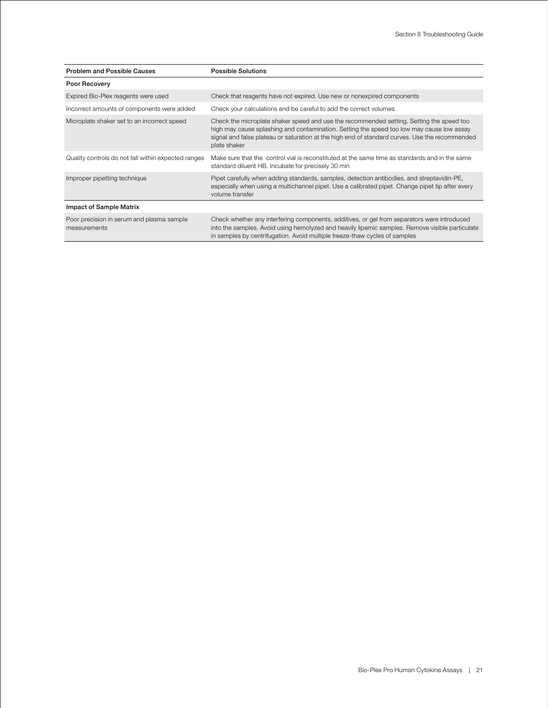| <b>Problem and Possible Causes</b>                        | <b>Possible Solutions</b>                                                                                                                                                                                                                                                                               |
|-----------------------------------------------------------|---------------------------------------------------------------------------------------------------------------------------------------------------------------------------------------------------------------------------------------------------------------------------------------------------------|
| Poor Recovery                                             |                                                                                                                                                                                                                                                                                                         |
| Expired Bio-Plex reagents were used                       | Check that reagents have not expired. Use new or nonexpired components                                                                                                                                                                                                                                  |
| Incorrect amounts of components were added                | Check your calculations and be careful to add the correct volumes                                                                                                                                                                                                                                       |
| Microplate shaker set to an incorrect speed               | Check the microplate shaker speed and use the recommended setting. Setting the speed too<br>high may cause splashing and contamination. Setting the speed too low may cause low assay<br>signal and false plateau or saturation at the high end of standard curves. Use the recommended<br>plate shaker |
| Quality controls do not fall within expected ranges       | Make sure that the control vial is reconstituted at the same time as standards and in the same<br>standard diluent HB. Incubate for precisely 30 min                                                                                                                                                    |
| Improper pipetting technique                              | Pipet carefully when adding standards, samples, detection antibodies, and streptavidin-PE,<br>especially when using a multichannel pipet. Use a calibrated pipet. Change pipet tip after every<br>volume transfer                                                                                       |
| <b>Impact of Sample Matrix</b>                            |                                                                                                                                                                                                                                                                                                         |
| Poor precision in serum and plasma sample<br>measurements | Check whether any interfering components, additives, or gel from separators were introduced<br>into the samples. Avoid using hemolyzed and heavily lipemic samples. Remove visible particulate<br>in samples by centrifugation. Avoid multiple freeze-thaw cycles of samples                            |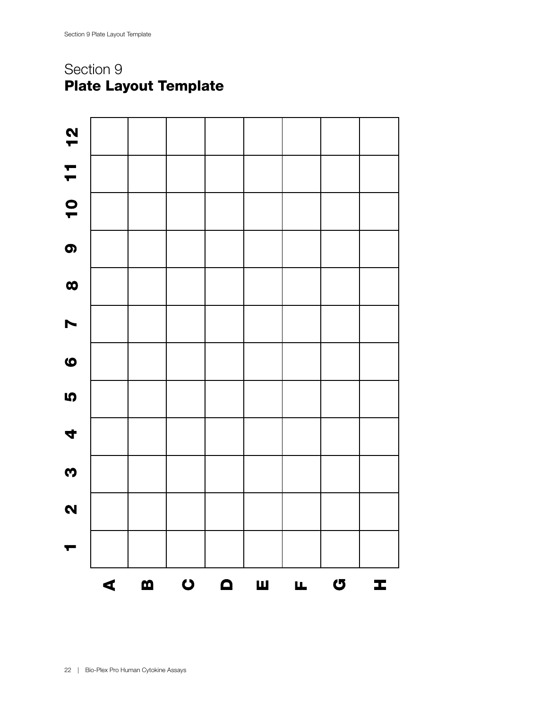# <span id="page-23-0"></span>Section 9 Plate Layout Template

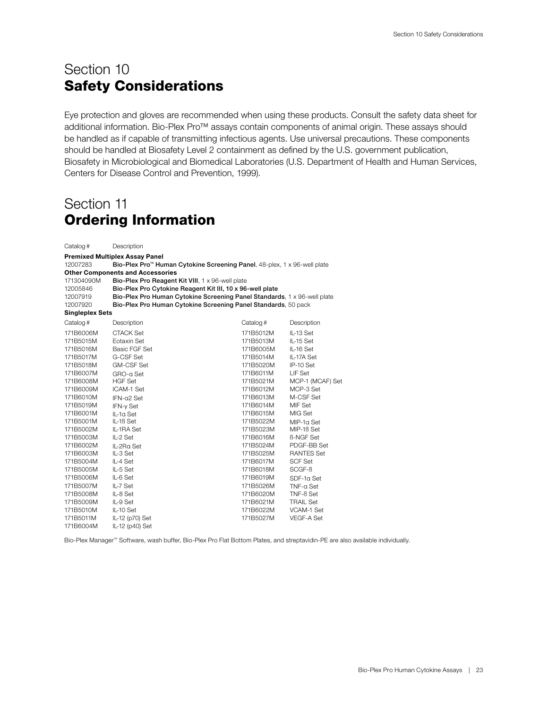# <span id="page-24-0"></span>Section 10 Safety Considerations

Eye protection and gloves are recommended when using these products. Consult the safety data sheet for additional information. Bio-Plex Pro™ assays contain components of animal origin. These assays should be handled as if capable of transmitting infectious agents. Use universal precautions. These components should be handled at Biosafety Level 2 containment as defined by the U.S. government publication, Biosafety in Microbiological and Biomedical Laboratories (U.S. Department of Health and Human Services, Centers for Disease Control and Prevention, 1999).

# Section 11 Ordering Information

| Catalog #              | Description                                               |                                                                                      |                   |  |
|------------------------|-----------------------------------------------------------|--------------------------------------------------------------------------------------|-------------------|--|
|                        | <b>Premixed Multiplex Assay Panel</b>                     |                                                                                      |                   |  |
| 12007283               |                                                           | Bio-Plex Pro <sup>™</sup> Human Cytokine Screening Panel, 48-plex, 1 x 96-well plate |                   |  |
|                        | <b>Other Components and Accessories</b>                   |                                                                                      |                   |  |
| 171304090M             |                                                           | Bio-Plex Pro Reagent Kit VIII, 1 x 96-well plate                                     |                   |  |
| 12005846               | Bio-Plex Pro Cytokine Reagent Kit III, 10 x 96-well plate |                                                                                      |                   |  |
| 12007919               |                                                           | Bio-Plex Pro Human Cytokine Screening Panel Standards, 1 x 96-well plate             |                   |  |
| 12007920               |                                                           | Bio-Plex Pro Human Cytokine Screening Panel Standards, 50 pack                       |                   |  |
| <b>Singleplex Sets</b> |                                                           |                                                                                      |                   |  |
| Catalog #              | Description                                               | Catalog#                                                                             | Description       |  |
| 171B6006M              | <b>CTACK Set</b>                                          | 171B5012M                                                                            | IL-13 Set         |  |
| 171B5015M              | Fotaxin Set                                               | 171B5013M                                                                            | IL-15 Set         |  |
| 171B5016M              | <b>Basic FGF Set</b>                                      | 171B6005M                                                                            | IL-16 Set         |  |
| 171B5017M              | G-CSF Set                                                 | 171B5014M                                                                            | IL-17A Set        |  |
| 171B5018M              | <b>GM-CSF Set</b>                                         | 171B5020M                                                                            | IP-10 Set         |  |
| 171B6007M              | GRO-a Set                                                 | 171B6011M                                                                            | LIF Set           |  |
| 171B6008M              | <b>HGF Set</b>                                            | 171B5021M                                                                            | MCP-1 (MCAF) Set  |  |
| 171B6009M              | ICAM-1 Set                                                | 171B6012M                                                                            | MCP-3 Set         |  |
| 171B6010M              | $IFN-α2 Set$                                              | 171B6013M                                                                            | M-CSF Set         |  |
| 171B5019M              | IFN-y Set                                                 | 171B6014M                                                                            | MIF Set           |  |
| 171B6001M              | IL-1a Set                                                 | 171B6015M                                                                            | MIG Set           |  |
| 171B5001M              | IL-1B Set                                                 | 171B5022M                                                                            | $MIP-10$ Set      |  |
| 171B5002M              | IL-1RA Set                                                | 171B5023M                                                                            | MIP-1B Set        |  |
| 171B5003M              | IL-2 Set                                                  | 171B6016M                                                                            | <b>B-NGF Set</b>  |  |
| 171B6002M              | IL-2Ra Set                                                | 171B5024M                                                                            | PDGF-BB Set       |  |
| 171B6003M              | IL-3 Set                                                  | 171B5025M                                                                            | <b>RANTES Set</b> |  |
| 171B5004M              | IL-4 Set                                                  | 171B6017M                                                                            | <b>SCF Set</b>    |  |
| 171B5005M              | IL-5 Set                                                  | 171B6018M                                                                            | SCGF-B            |  |
| 171B5006M              | IL-6 Set                                                  | 171B6019M                                                                            | SDF-1a Set        |  |
| 171B5007M              | IL-7 Set                                                  | 171B5026M                                                                            | TNF-a Set         |  |
| 171B5008M              | IL-8 Set                                                  | 171B6020M                                                                            | TNF-ß Set         |  |
| 171B5009M              | IL-9 Set                                                  | 171B6021M                                                                            | <b>TRAIL Set</b>  |  |
| 171B5010M              | IL-10 Set                                                 | 171B6022M                                                                            | VCAM-1 Set        |  |
| 171B5011M              | IL-12 (p70) Set                                           | 171B5027M                                                                            | VEGF-A Set        |  |
| 171B6004M              | IL-12 (p40) Set                                           |                                                                                      |                   |  |

Bio-Plex Manager™ Software, wash buffer, Bio-Plex Pro Flat Bottom Plates, and streptavidin-PE are also available individually.